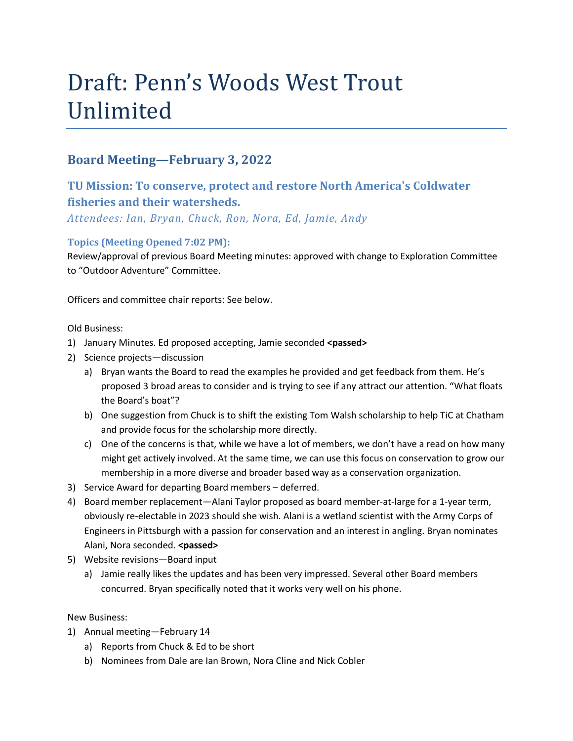# Draft: Penn's Woods West Trout Unlimited

# **Board Meeting—February 3, 2022**

# **TU Mission: To conserve, protect and restore North America's Coldwater fisheries and their watersheds.**

*Attendees: Ian, Bryan, Chuck, Ron, Nora, Ed, Jamie, Andy*

# **Topics (Meeting Opened 7:02 PM):**

Review/approval of previous Board Meeting minutes: approved with change to Exploration Committee to "Outdoor Adventure" Committee.

Officers and committee chair reports: See below.

Old Business:

- 1) January Minutes. Ed proposed accepting, Jamie seconded **<passed>**
- 2) Science projects—discussion
	- a) Bryan wants the Board to read the examples he provided and get feedback from them. He's proposed 3 broad areas to consider and is trying to see if any attract our attention. "What floats the Board's boat"?
	- b) One suggestion from Chuck is to shift the existing Tom Walsh scholarship to help TiC at Chatham and provide focus for the scholarship more directly.
	- c) One of the concerns is that, while we have a lot of members, we don't have a read on how many might get actively involved. At the same time, we can use this focus on conservation to grow our membership in a more diverse and broader based way as a conservation organization.
- 3) Service Award for departing Board members deferred.
- 4) Board member replacement—Alani Taylor proposed as board member-at-large for a 1-year term, obviously re-electable in 2023 should she wish. Alani is a wetland scientist with the Army Corps of Engineers in Pittsburgh with a passion for conservation and an interest in angling. Bryan nominates Alani, Nora seconded. **<passed>**
- 5) Website revisions—Board input
	- a) Jamie really likes the updates and has been very impressed. Several other Board members concurred. Bryan specifically noted that it works very well on his phone.

New Business:

- 1) Annual meeting—February 14
	- a) Reports from Chuck & Ed to be short
	- b) Nominees from Dale are Ian Brown, Nora Cline and Nick Cobler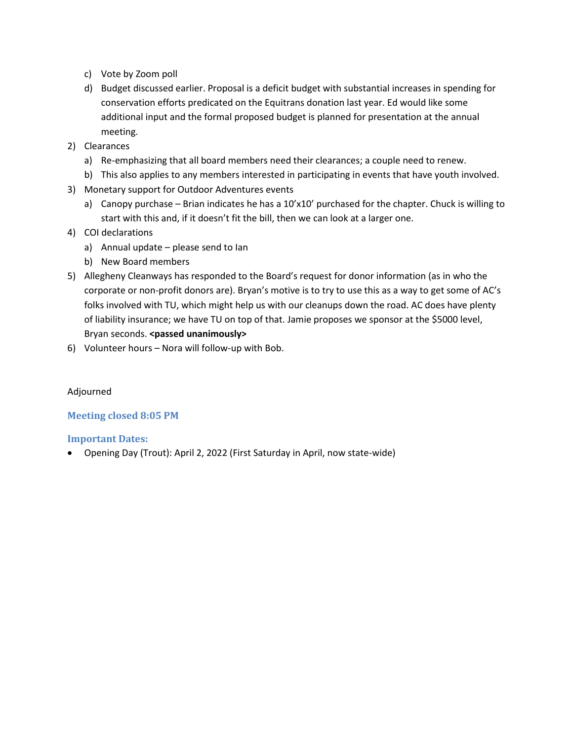- c) Vote by Zoom poll
- d) Budget discussed earlier. Proposal is a deficit budget with substantial increases in spending for conservation efforts predicated on the Equitrans donation last year. Ed would like some additional input and the formal proposed budget is planned for presentation at the annual meeting.
- 2) Clearances
	- a) Re-emphasizing that all board members need their clearances; a couple need to renew.
	- b) This also applies to any members interested in participating in events that have youth involved.
- 3) Monetary support for Outdoor Adventures events
	- a) Canopy purchase Brian indicates he has a 10'x10' purchased for the chapter. Chuck is willing to start with this and, if it doesn't fit the bill, then we can look at a larger one.
- 4) COI declarations
	- a) Annual update please send to Ian
	- b) New Board members
- 5) Allegheny Cleanways has responded to the Board's request for donor information (as in who the corporate or non-profit donors are). Bryan's motive is to try to use this as a way to get some of AC's folks involved with TU, which might help us with our cleanups down the road. AC does have plenty of liability insurance; we have TU on top of that. Jamie proposes we sponsor at the \$5000 level, Bryan seconds. **<passed unanimously>**
- 6) Volunteer hours Nora will follow-up with Bob.

## Adjourned

## **Meeting closed 8:05 PM**

## **Important Dates:**

• Opening Day (Trout): April 2, 2022 (First Saturday in April, now state-wide)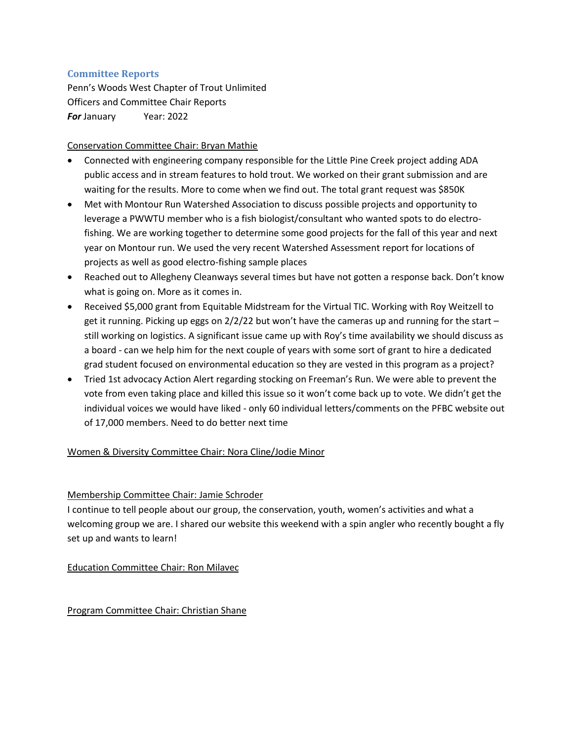## **Committee Reports**

Penn's Woods West Chapter of Trout Unlimited Officers and Committee Chair Reports *For* January Year: 2022

#### Conservation Committee Chair: Bryan Mathie

- Connected with engineering company responsible for the Little Pine Creek project adding ADA public access and in stream features to hold trout. We worked on their grant submission and are waiting for the results. More to come when we find out. The total grant request was \$850K
- Met with Montour Run Watershed Association to discuss possible projects and opportunity to leverage a PWWTU member who is a fish biologist/consultant who wanted spots to do electrofishing. We are working together to determine some good projects for the fall of this year and next year on Montour run. We used the very recent Watershed Assessment report for locations of projects as well as good electro-fishing sample places
- Reached out to Allegheny Cleanways several times but have not gotten a response back. Don't know what is going on. More as it comes in.
- Received \$5,000 grant from Equitable Midstream for the Virtual TIC. Working with Roy Weitzell to get it running. Picking up eggs on 2/2/22 but won't have the cameras up and running for the start – still working on logistics. A significant issue came up with Roy's time availability we should discuss as a board - can we help him for the next couple of years with some sort of grant to hire a dedicated grad student focused on environmental education so they are vested in this program as a project?
- Tried 1st advocacy Action Alert regarding stocking on Freeman's Run. We were able to prevent the vote from even taking place and killed this issue so it won't come back up to vote. We didn't get the individual voices we would have liked - only 60 individual letters/comments on the PFBC website out of 17,000 members. Need to do better next time

## Women & Diversity Committee Chair: Nora Cline/Jodie Minor

## Membership Committee Chair: Jamie Schroder

I continue to tell people about our group, the conservation, youth, women's activities and what a welcoming group we are. I shared our website this weekend with a spin angler who recently bought a fly set up and wants to learn!

## Education Committee Chair: Ron Milavec

#### Program Committee Chair: Christian Shane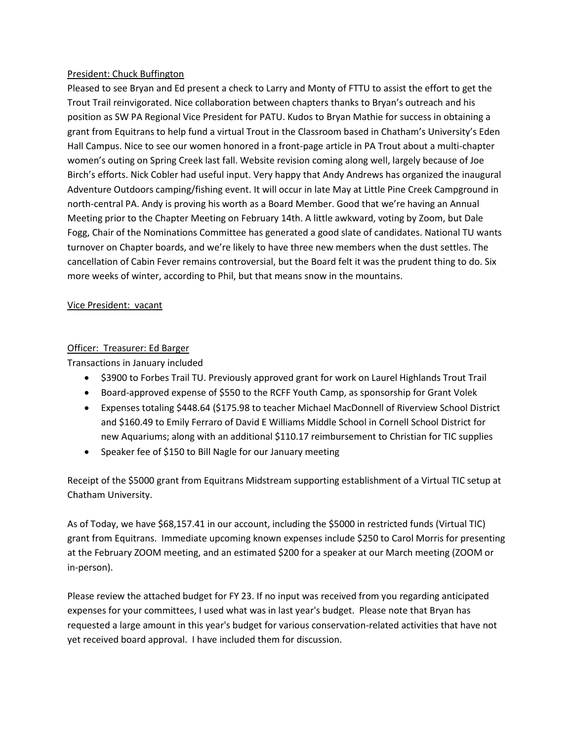#### President: Chuck Buffington

Pleased to see Bryan and Ed present a check to Larry and Monty of FTTU to assist the effort to get the Trout Trail reinvigorated. Nice collaboration between chapters thanks to Bryan's outreach and his position as SW PA Regional Vice President for PATU. Kudos to Bryan Mathie for success in obtaining a grant from Equitrans to help fund a virtual Trout in the Classroom based in Chatham's University's Eden Hall Campus. Nice to see our women honored in a front-page article in PA Trout about a multi-chapter women's outing on Spring Creek last fall. Website revision coming along well, largely because of Joe Birch's efforts. Nick Cobler had useful input. Very happy that Andy Andrews has organized the inaugural Adventure Outdoors camping/fishing event. It will occur in late May at Little Pine Creek Campground in north-central PA. Andy is proving his worth as a Board Member. Good that we're having an Annual Meeting prior to the Chapter Meeting on February 14th. A little awkward, voting by Zoom, but Dale Fogg, Chair of the Nominations Committee has generated a good slate of candidates. National TU wants turnover on Chapter boards, and we're likely to have three new members when the dust settles. The cancellation of Cabin Fever remains controversial, but the Board felt it was the prudent thing to do. Six more weeks of winter, according to Phil, but that means snow in the mountains.

#### Vice President: vacant

#### Officer: Treasurer: Ed Barger

Transactions in January included

- \$3900 to Forbes Trail TU. Previously approved grant for work on Laurel Highlands Trout Trail
- Board-approved expense of \$550 to the RCFF Youth Camp, as sponsorship for Grant Volek
- Expenses totaling \$448.64 (\$175.98 to teacher Michael MacDonnell of Riverview School District and \$160.49 to Emily Ferraro of David E Williams Middle School in Cornell School District for new Aquariums; along with an additional \$110.17 reimbursement to Christian for TIC supplies
- Speaker fee of \$150 to Bill Nagle for our January meeting

Receipt of the \$5000 grant from Equitrans Midstream supporting establishment of a Virtual TIC setup at Chatham University.

As of Today, we have \$68,157.41 in our account, including the \$5000 in restricted funds (Virtual TIC) grant from Equitrans. Immediate upcoming known expenses include \$250 to Carol Morris for presenting at the February ZOOM meeting, and an estimated \$200 for a speaker at our March meeting (ZOOM or in-person).

Please review the attached budget for FY 23. If no input was received from you regarding anticipated expenses for your committees, I used what was in last year's budget. Please note that Bryan has requested a large amount in this year's budget for various conservation-related activities that have not yet received board approval. I have included them for discussion.